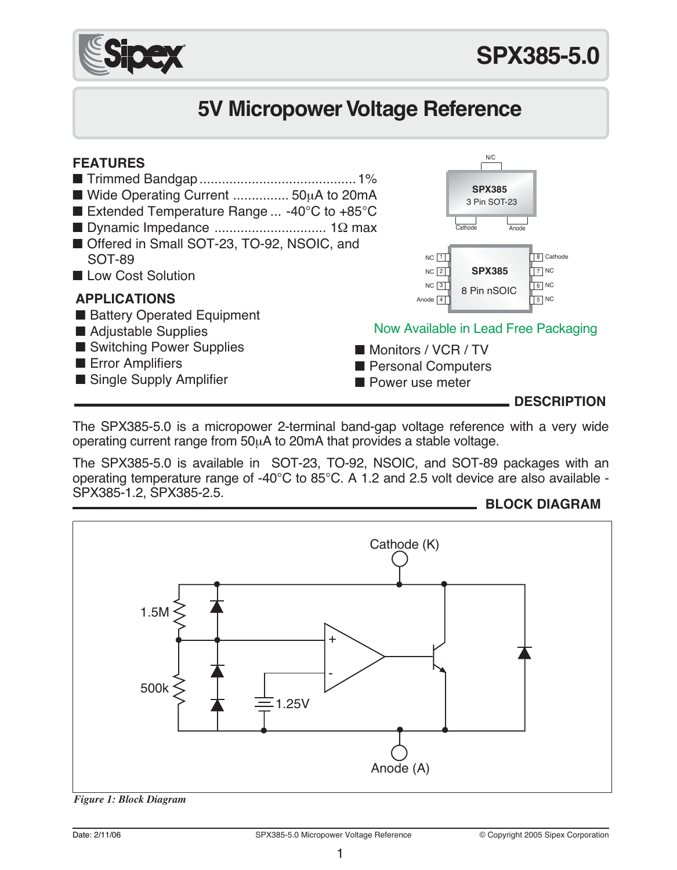

# **5V Micropower Voltage Reference**



The SPX385-5.0 is a micropower 2-terminal band-gap voltage reference with a very wide operating current range from 50µA to 20mA that provides a stable voltage.

The SPX385-5.0 is available in SOT-23, TO-92, NSOIC, and SOT-89 packages with an operating temperature range of -40°C to 85°C. A 1.2 and 2.5 volt device are also available - SPX385-1.2, SPX385-2.5.





*Figure 1: Block Diagram*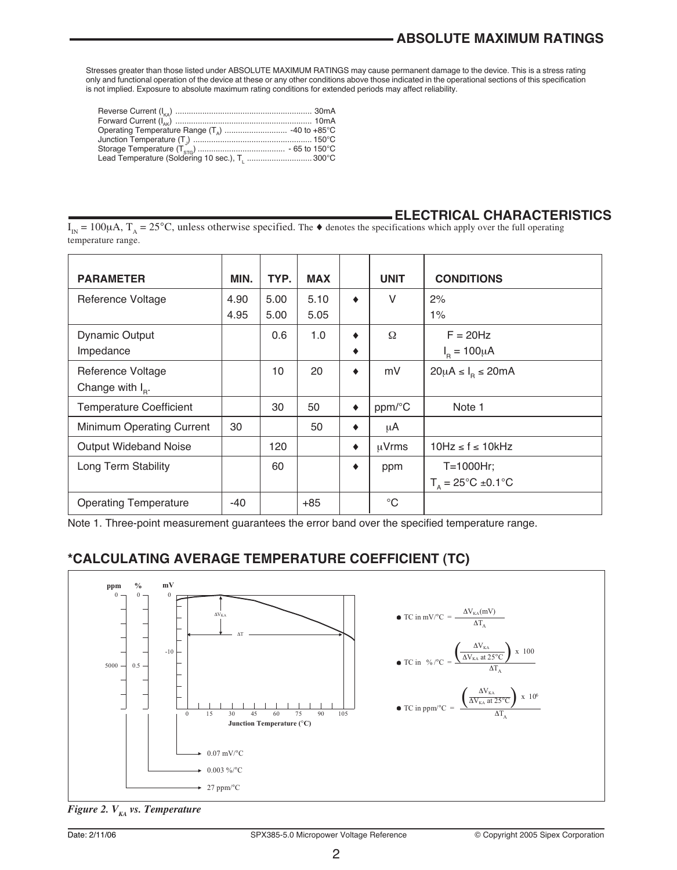Stresses greater than those listed under ABSOLUTE MAXIMUM RATINGS may cause permanent damage to the device. This is a stress rating<br>only and functional operation of the device at these or any other conditions above those i

| Lead Temperature (Soldering 10 sec.), T.  300°C |  |
|-------------------------------------------------|--|

#### **ELECTRICAL CHARACTERISTICS**

 $I_{\text{IN}} = 100\mu\text{A}$ ,  $T_{\text{A}} = 25^{\circ}\text{C}$ , unless otherwise specified. The  $\bullet$  denotes the specifications which apply over the full operating temperature range.

| <b>PARAMETER</b>               | MIN. | TYP. | <b>MAX</b> |   | <b>UNIT</b> | <b>CONDITIONS</b>                    |
|--------------------------------|------|------|------------|---|-------------|--------------------------------------|
| Reference Voltage              | 4.90 | 5.00 | 5.10       | ٠ | $\vee$      | 2%                                   |
|                                | 4.95 | 5.00 | 5.05       |   |             | 1%                                   |
| <b>Dynamic Output</b>          |      | 0.6  | 1.0        | ٠ | Ω           | $F = 20$ Hz                          |
| Impedance                      |      |      |            | ٠ |             | $I_p = 100 \mu A$                    |
| Reference Voltage              |      | 10   | 20         | ٠ | mV          | $20\mu A \leq I_0 \leq 20mA$         |
| Change with $I_{p}$ .          |      |      |            |   |             |                                      |
| <b>Temperature Coefficient</b> |      | 30   | 50         | ٠ | ppm/°C      | Note 1                               |
| Minimum Operating Current      | 30   |      | 50         | ٠ | μA          |                                      |
| Output Wideband Noise          |      | 120  |            | ٠ | uVrms       | $10Hz \le f \le 10kHz$               |
| Long Term Stability            |      | 60   |            | ٠ | ppm         | T=1000Hr;                            |
|                                |      |      |            |   |             | $T_a = 25^{\circ}C \pm 0.1^{\circ}C$ |
| <b>Operating Temperature</b>   | -40  |      | $+85$      |   | $^{\circ}C$ |                                      |

Note 1. Three-point measurement guarantees the error band over the specified temperature range.

#### **\*CALCULATING AVERAGE TEMPERATURE COEFFICIENT (TC)**



*Figure 2. V<sub>KA</sub> vs. Temperature*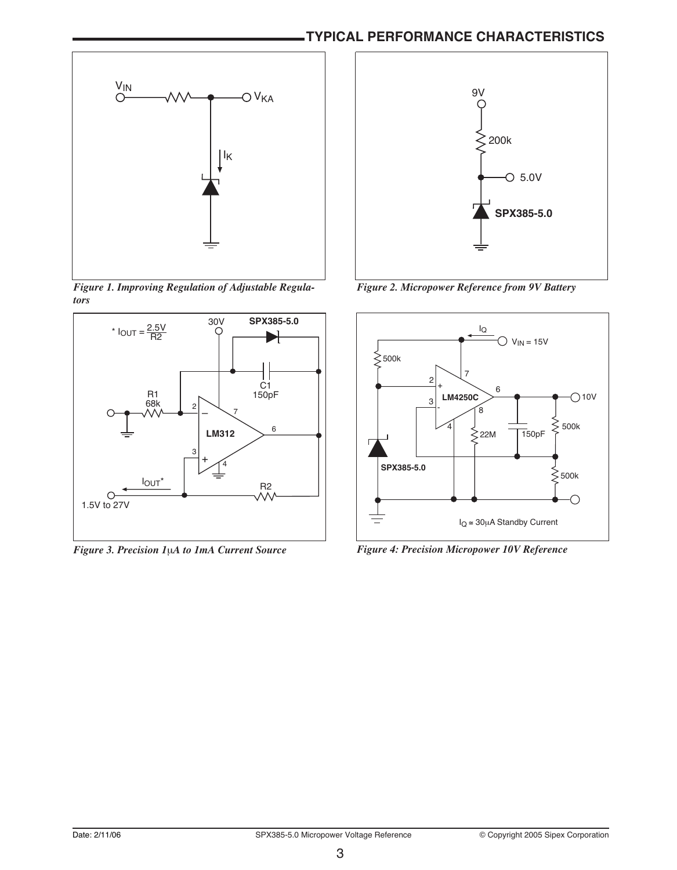### **TYPICAL PERFORMANCE CHARACTERISTICS**



*Figure 1. Improving Regulation of Adjustable Regulators*



*Figure 3. Precision 1*µ*A to 1mA Current Source*



*Figure 2. Micropower Reference from 9V Battery*



*Figure 4: Precision Micropower 10V Reference*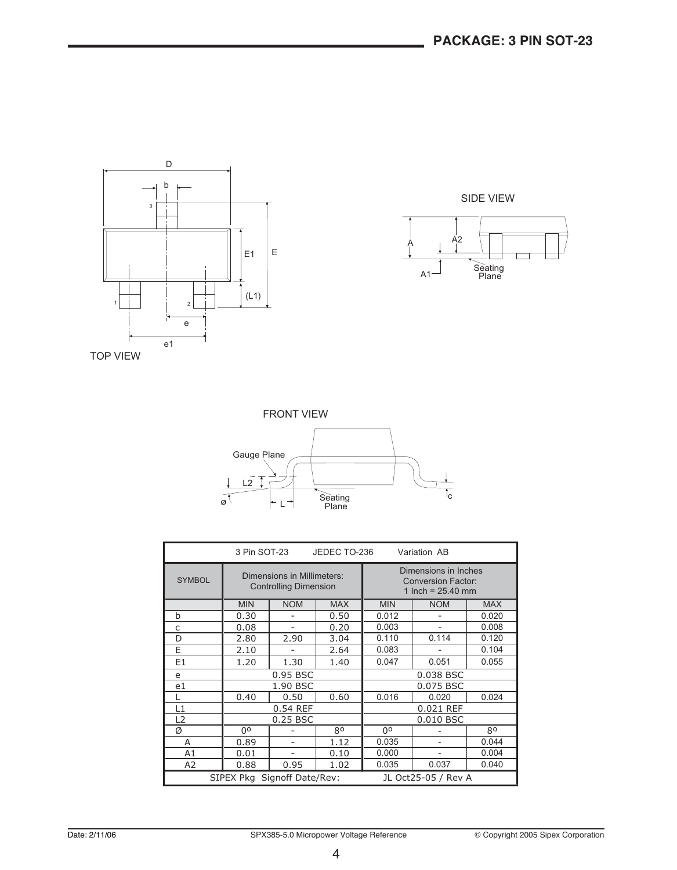



TOP VIEW



| 3 Pin SOT-23<br>JEDEC TO-236<br>Variation AB       |                                                            |            |            |                                                                          |            |              |
|----------------------------------------------------|------------------------------------------------------------|------------|------------|--------------------------------------------------------------------------|------------|--------------|
| <b>SYMBOL</b>                                      | Dimensions in Millimeters:<br><b>Controlling Dimension</b> |            |            | Dimensions in Inches<br><b>Conversion Factor:</b><br>1 Inch = $25.40$ mm |            |              |
|                                                    | <b>MIN</b>                                                 | <b>NOM</b> | <b>MAX</b> | <b>MIN</b>                                                               | <b>NOM</b> | <b>MAX</b>   |
| b                                                  | 0.30                                                       |            | 0.50       | 0.012                                                                    |            | 0.020        |
| C                                                  | 0.08                                                       |            | 0.20       | 0.003                                                                    |            | 0.008        |
| D                                                  | 2.80                                                       | 2.90       | 3.04       | 0.110                                                                    | 0.114      | 0.120        |
| E                                                  | 2.10                                                       |            | 2.64       | 0.083                                                                    |            | 0.104        |
| E <sub>1</sub>                                     | 1.20                                                       | 1.30       | 1.40       | 0.047                                                                    | 0.051      | 0.055        |
| e                                                  |                                                            | 0.95 BSC   |            |                                                                          | 0.038 BSC  |              |
| e1                                                 |                                                            | 1.90 BSC   |            | 0.075 BSC                                                                |            |              |
|                                                    | 0.40                                                       | 0.50       | 0.60       | 0.016                                                                    | 0.020      | 0.024        |
| L1                                                 |                                                            | 0.54 REF   |            |                                                                          | 0.021 REF  |              |
| L <sub>2</sub>                                     | 0.25 BSC<br>0.010 BSC                                      |            |            |                                                                          |            |              |
| Ø                                                  | Ωo                                                         |            | 80         | no                                                                       |            | $80^{\circ}$ |
| A                                                  | 0.89                                                       |            | 1.12       | 0.035                                                                    |            | 0.044        |
| A1                                                 | 0.01                                                       |            | 0.10       | 0.000                                                                    |            | 0.004        |
| A2                                                 | 0.88                                                       | 0.95       | 1.02       | 0.035                                                                    | 0.037      | 0.040        |
| SIPEX Pkg Signoff Date/Rev:<br>JL Oct25-05 / Rev A |                                                            |            |            |                                                                          |            |              |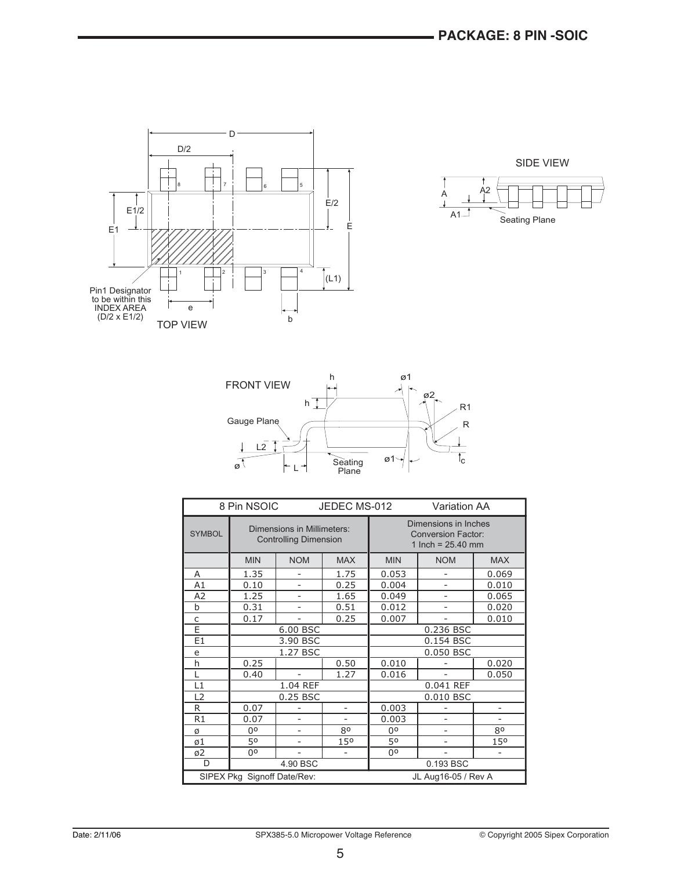

 $\overrightarrow{A}$   $\overrightarrow{A}^2$  $A1$ <sup> $\overline{\phantom{a}}$ </sup> SIDE VIEW Seating Plane



| 8 Pin NSOIC<br>JEDEC MS-012                        |                                                            | <b>Variation AA</b>      |            |            |                                                                          |                          |
|----------------------------------------------------|------------------------------------------------------------|--------------------------|------------|------------|--------------------------------------------------------------------------|--------------------------|
| <b>SYMBOL</b>                                      | Dimensions in Millimeters:<br><b>Controlling Dimension</b> |                          |            |            | Dimensions in Inches<br><b>Conversion Factor:</b><br>1 Inch = $25.40$ mm |                          |
|                                                    | <b>MIN</b>                                                 | <b>NOM</b>               | <b>MAX</b> | <b>MIN</b> | <b>NOM</b>                                                               | <b>MAX</b>               |
| A                                                  | 1.35                                                       |                          | 1.75       | 0.053      |                                                                          | 0.069                    |
| A1                                                 | 0.10                                                       |                          | 0.25       | 0.004      |                                                                          | 0.010                    |
| A2                                                 | 1.25                                                       |                          | 1.65       | 0.049      |                                                                          | 0.065                    |
| $\mathbf b$                                        | 0.31                                                       |                          | 0.51       | 0.012      | -                                                                        | 0.020                    |
| C                                                  | 0.17                                                       | $\overline{a}$           | 0.25       | 0.007      |                                                                          | 0.010                    |
| Ē                                                  |                                                            | 6.00 BSC                 |            | 0.236 BSC  |                                                                          |                          |
| E1                                                 |                                                            | 3.90 BSC                 |            | 0.154 BSC  |                                                                          |                          |
| e                                                  |                                                            | 1.27 BSC                 |            | 0.050 BSC  |                                                                          |                          |
| h                                                  | 0.25                                                       |                          | 0.50       | 0.010      |                                                                          | 0.020                    |
| L                                                  | 0.40                                                       | $\overline{\phantom{a}}$ | 1.27       | 0.016      | $\overline{\phantom{a}}$                                                 | 0.050                    |
| L1                                                 |                                                            | 1.04 REF                 |            |            | 0.041 REF                                                                |                          |
| L2                                                 |                                                            | 0.25 BSC                 |            |            | 0.010 BSC                                                                |                          |
| R                                                  | 0.07                                                       |                          | -          | 0.003      |                                                                          | $\overline{\phantom{0}}$ |
| R1                                                 | 0.07                                                       |                          |            | 0.003      |                                                                          |                          |
| Ø                                                  | 0°                                                         |                          | 80         | 0°         |                                                                          | 80                       |
| ø1                                                 | 50                                                         |                          | 150        | 50         |                                                                          | 150                      |
| ø2                                                 | 00                                                         |                          |            | 00         |                                                                          |                          |
| D                                                  | 4.90 BSC<br>0.193 BSC                                      |                          |            |            |                                                                          |                          |
| SIPEX Pkg Signoff Date/Rev:<br>JL Aug16-05 / Rev A |                                                            |                          |            |            |                                                                          |                          |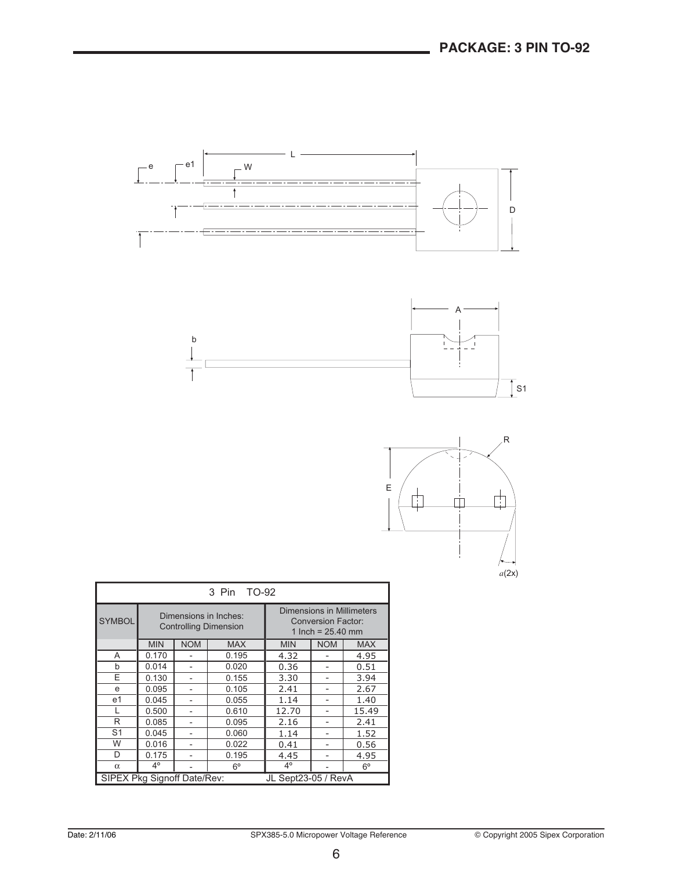



| TO-92<br>3 Pin                                     |             |            |                                                       |             |                                                  |                           |  |
|----------------------------------------------------|-------------|------------|-------------------------------------------------------|-------------|--------------------------------------------------|---------------------------|--|
| <b>SYMBOL</b>                                      |             |            | Dimensions in Inches:<br><b>Controlling Dimension</b> |             | <b>Conversion Factor:</b><br>1 Inch = $25.40$ mm | Dimensions in Millimeters |  |
|                                                    | <b>MIN</b>  | <b>NOM</b> | <b>MAX</b>                                            | <b>MIN</b>  | <b>NOM</b>                                       | <b>MAX</b>                |  |
| A                                                  | 0.170       |            | 0.195                                                 | 4.32        |                                                  | 4.95                      |  |
| b                                                  | 0.014       |            | 0.020                                                 | 0.36        |                                                  | 0.51                      |  |
| F                                                  | 0.130       | 0.155      |                                                       | 3.30        |                                                  | 3.94                      |  |
| e                                                  | 0.095       |            | 0.105                                                 | 2.41        |                                                  | 2.67                      |  |
| e <sub>1</sub>                                     | 0.045       |            | 0.055                                                 | 1.14        |                                                  | 1.40                      |  |
|                                                    | 0.500       | 0.610      |                                                       | 12.70       |                                                  | 15.49                     |  |
| R                                                  | 0.085       |            | 0.095                                                 | 2.16        |                                                  | 2.41                      |  |
| S <sub>1</sub>                                     | 0.045       | 0.060      |                                                       | 1.14        |                                                  | 1.52                      |  |
| W                                                  | 0.016       |            | 0.022                                                 | 0.41        | -                                                | 0.56                      |  |
| D                                                  | 0.175       | 0.195      |                                                       | 4.45        |                                                  | 4.95                      |  |
| $\alpha$                                           | $4^{\circ}$ |            | $6^{\circ}$                                           | $4^{\circ}$ |                                                  | $6^{\circ}$               |  |
| SIPEX Pkg Signoff Date/Rev:<br>JL Sept23-05 / RevA |             |            |                                                       |             |                                                  |                           |  |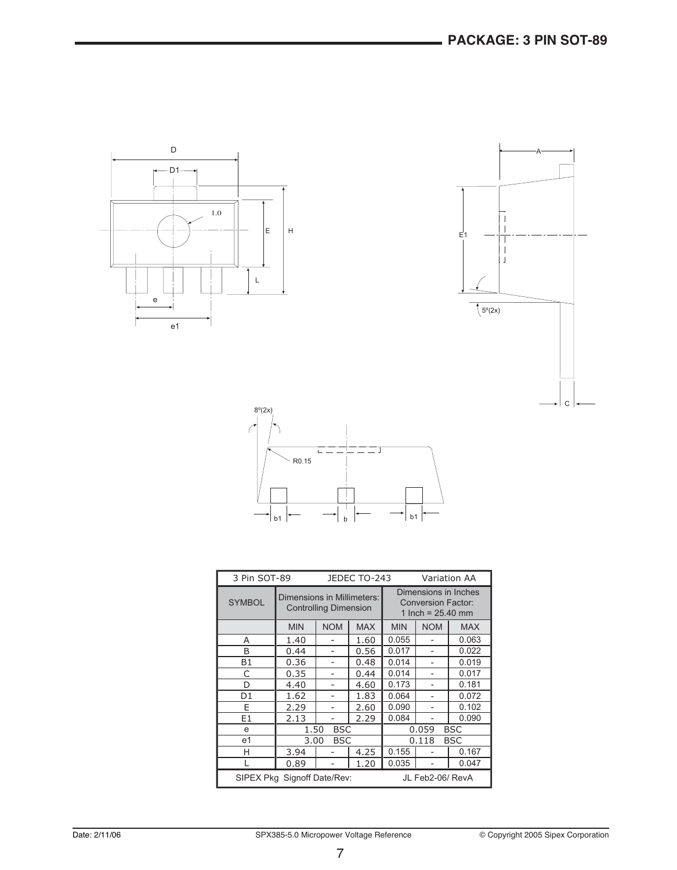





| 3 Pin SOT-89<br>JEDEC TO-243<br><b>Variation AA</b> |                            |                              |            |            |                                                                          |            |
|-----------------------------------------------------|----------------------------|------------------------------|------------|------------|--------------------------------------------------------------------------|------------|
| <b>SYMBOL</b>                                       | Dimensions in Millimeters: | <b>Controlling Dimension</b> |            |            | Dimensions in Inches<br><b>Conversion Factor:</b><br>1 Inch = $25.40$ mm |            |
|                                                     | <b>MIN</b>                 | <b>NOM</b>                   | <b>MAX</b> | <b>MIN</b> | <b>NOM</b>                                                               | <b>MAX</b> |
| А                                                   | 1.40                       |                              | 1.60       | 0.055      |                                                                          | 0.063      |
| B                                                   | 0.44                       |                              | 0.56       | 0.017      |                                                                          | 0.022      |
| <b>B1</b>                                           | 0.36                       |                              | 0.48       | 0.014      |                                                                          | 0.019      |
| C                                                   | 0.35                       |                              | 0.44       | 0.014      |                                                                          | 0.017      |
| D                                                   | 4.40                       |                              | 4.60       | 0.173      |                                                                          | 0.181      |
| D <sub>1</sub>                                      | 1.62                       |                              | 1.83       | 0.064      |                                                                          | 0.072      |
| E                                                   | 2.29                       |                              | 2.60       | 0.090      |                                                                          | 0.102      |
| E <sub>1</sub>                                      | 2.13                       |                              | 2.29       | 0.084      |                                                                          | 0.090      |
| e                                                   | 1.50                       | <b>BSC</b>                   |            |            | 0.059                                                                    | <b>BSC</b> |
| e <sub>1</sub>                                      | 3.00                       | <b>BSC</b>                   |            |            | 0.118                                                                    | BSC        |
| н                                                   | 3.94                       |                              | 4.25       | 0.155      |                                                                          | 0.167      |
|                                                     | 0.89                       |                              | 1.20       | 0.035      |                                                                          | 0.047      |
| SIPEX Pkg Signoff Date/Rev:                         |                            |                              |            |            | JL Feb2-06/ RevA                                                         |            |